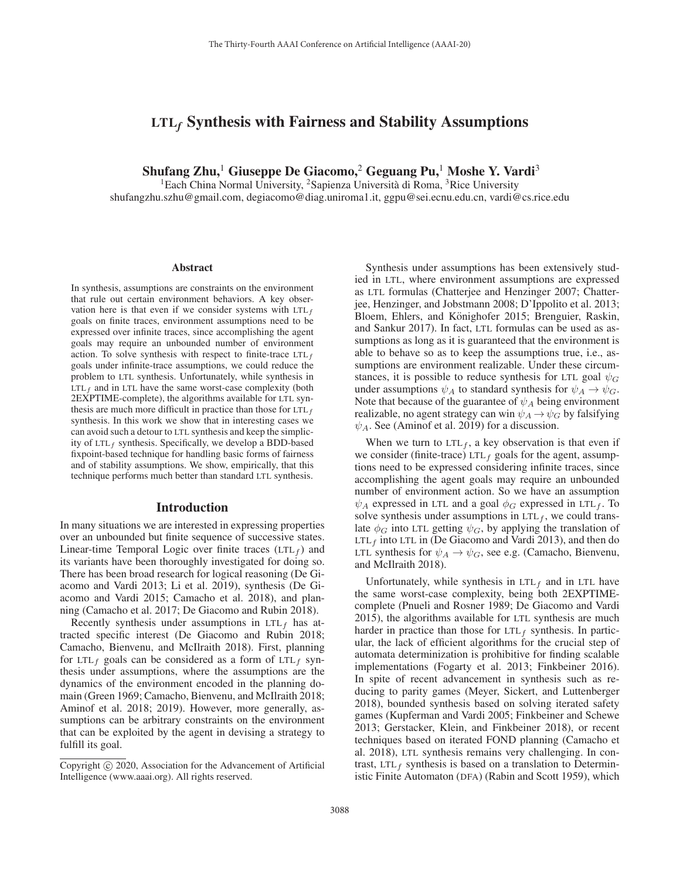# LTL*<sup>f</sup>* Synthesis with Fairness and Stability Assumptions

Shufang Zhu,<sup>1</sup> Giuseppe De Giacomo,<sup>2</sup> Geguang Pu,<sup>1</sup> Moshe Y. Vardi<sup>3</sup>

<sup>1</sup>Each China Normal University, <sup>2</sup>Sapienza Università di Roma, <sup>3</sup>Rice University shufangzhu.szhu@gmail.com, degiacomo@diag.uniroma1.it, ggpu@sei.ecnu.edu.cn, vardi@cs.rice.edu

#### Abstract

In synthesis, assumptions are constraints on the environment that rule out certain environment behaviors. A key observation here is that even if we consider systems with  $LTL<sub>f</sub>$ goals on finite traces, environment assumptions need to be expressed over infinite traces, since accomplishing the agent goals may require an unbounded number of environment action. To solve synthesis with respect to finite-trace  $LTL<sub>f</sub>$ goals under infinite-trace assumptions, we could reduce the problem to LTL synthesis. Unfortunately, while synthesis in  $LTL<sub>f</sub>$  and in LTL have the same worst-case complexity (both 2EXPTIME-complete), the algorithms available for LTL synthesis are much more difficult in practice than those for  $LTL<sub>f</sub>$ synthesis. In this work we show that in interesting cases we can avoid such a detour to LTL synthesis and keep the simplicity of  $LTL_f$  synthesis. Specifically, we develop a BDD-based fixpoint-based technique for handling basic forms of fairness and of stability assumptions. We show, empirically, that this technique performs much better than standard LTL synthesis.

### Introduction

In many situations we are interested in expressing properties over an unbounded but finite sequence of successive states. Linear-time Temporal Logic over finite traces  $(LTL<sub>f</sub>)$  and its variants have been thoroughly investigated for doing so. There has been broad research for logical reasoning (De Giacomo and Vardi 2013; Li et al. 2019), synthesis (De Giacomo and Vardi 2015; Camacho et al. 2018), and planning (Camacho et al. 2017; De Giacomo and Rubin 2018).

Recently synthesis under assumptions in  $LTL<sub>f</sub>$  has attracted specific interest (De Giacomo and Rubin 2018; Camacho, Bienvenu, and McIlraith 2018). First, planning for LTL<sub>f</sub> goals can be considered as a form of LTL<sub>f</sub> synthesis under assumptions, where the assumptions are the dynamics of the environment encoded in the planning domain (Green 1969; Camacho, Bienvenu, and McIlraith 2018; Aminof et al. 2018; 2019). However, more generally, assumptions can be arbitrary constraints on the environment that can be exploited by the agent in devising a strategy to fulfill its goal.

Synthesis under assumptions has been extensively studied in LTL, where environment assumptions are expressed as LTL formulas (Chatterjee and Henzinger 2007; Chatterjee, Henzinger, and Jobstmann 2008; D'Ippolito et al. 2013; Bloem, Ehlers, and Könighofer 2015; Brenguier, Raskin, and Sankur 2017). In fact, LTL formulas can be used as assumptions as long as it is guaranteed that the environment is able to behave so as to keep the assumptions true, i.e., assumptions are environment realizable. Under these circumstances, it is possible to reduce synthesis for LTL goal  $\psi_G$ under assumptions  $\psi_A$  to standard synthesis for  $\psi_A \rightarrow \psi_G$ . Note that because of the guarantee of  $\psi_A$  being environment realizable, no agent strategy can win  $\psi_A \rightarrow \psi_G$  by falsifying  $\psi_A$ . See (Aminof et al. 2019) for a discussion.

When we turn to  $LTL<sub>f</sub>$ , a key observation is that even if we consider (finite-trace)  $LTL_f$  goals for the agent, assumptions need to be expressed considering infinite traces, since accomplishing the agent goals may require an unbounded number of environment action. So we have an assumption  $\psi_A$  expressed in LTL and a goal  $\phi_G$  expressed in LTL<sub>f</sub>. To solve synthesis under assumptions in  $LTL_f$ , we could translate  $\phi_G$  into LTL getting  $\psi_G$ , by applying the translation of LTL $_f$  into LTL in (De Giacomo and Vardi 2013), and then do LTL synthesis for  $\psi_A \rightarrow \psi_G$ , see e.g. (Camacho, Bienvenu, and McIlraith 2018).

Unfortunately, while synthesis in  $LTL<sub>f</sub>$  and in LTL have the same worst-case complexity, being both 2EXPTIMEcomplete (Pnueli and Rosner 1989; De Giacomo and Vardi 2015), the algorithms available for LTL synthesis are much harder in practice than those for  $LTL_f$  synthesis. In particular, the lack of efficient algorithms for the crucial step of automata determinization is prohibitive for finding scalable implementations (Fogarty et al. 2013; Finkbeiner 2016). In spite of recent advancement in synthesis such as reducing to parity games (Meyer, Sickert, and Luttenberger 2018), bounded synthesis based on solving iterated safety games (Kupferman and Vardi 2005; Finkbeiner and Schewe 2013; Gerstacker, Klein, and Finkbeiner 2018), or recent techniques based on iterated FOND planning (Camacho et al. 2018), LTL synthesis remains very challenging. In contrast, LTL $_f$  synthesis is based on a translation to Deterministic Finite Automaton (DFA) (Rabin and Scott 1959), which

Copyright  $\odot$  2020, Association for the Advancement of Artificial Intelligence (www.aaai.org). All rights reserved.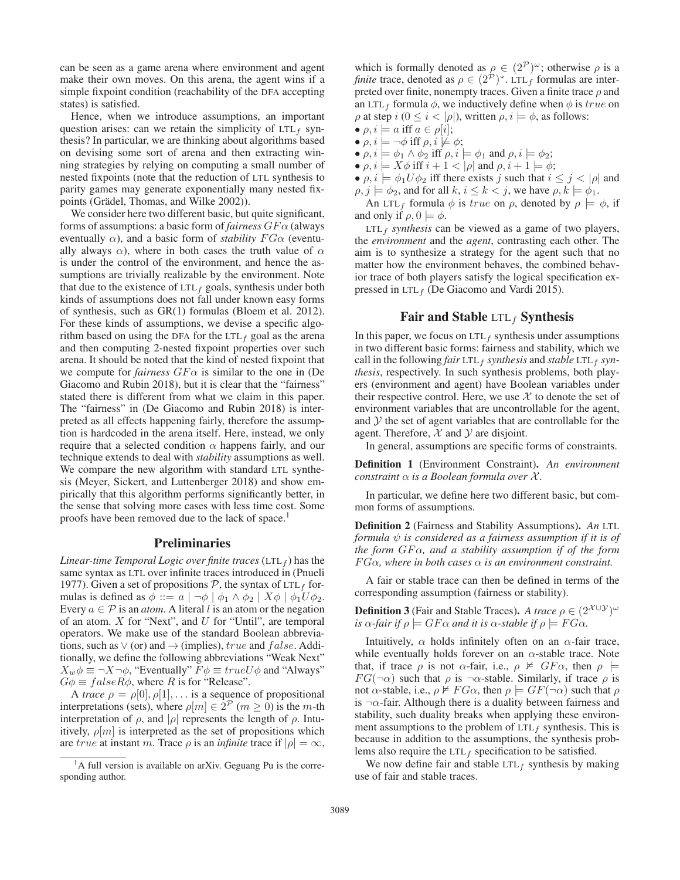can be seen as a game arena where environment and agent make their own moves. On this arena, the agent wins if a simple fixpoint condition (reachability of the DFA accepting states) is satisfied.

Hence, when we introduce assumptions, an important question arises: can we retain the simplicity of  $LTL_f$  synthesis? In particular, we are thinking about algorithms based on devising some sort of arena and then extracting winning strategies by relying on computing a small number of nested fixpoints (note that the reduction of LTL synthesis to parity games may generate exponentially many nested fixpoints (Grädel, Thomas, and Wilke 2002)).

We consider here two different basic, but quite significant, forms of assumptions: a basic form of *fairness* GF α (always eventually  $\alpha$ ), and a basic form of *stability*  $FG\alpha$  (eventually always  $\alpha$ ), where in both cases the truth value of  $\alpha$ is under the control of the environment, and hence the assumptions are trivially realizable by the environment. Note that due to the existence of  $LTL_f$  goals, synthesis under both kinds of assumptions does not fall under known easy forms of synthesis, such as GR(1) formulas (Bloem et al. 2012). For these kinds of assumptions, we devise a specific algorithm based on using the DFA for the LTL $_f$  goal as the arena and then computing 2-nested fixpoint properties over such arena. It should be noted that the kind of nested fixpoint that we compute for *fairness*  $GF\alpha$  is similar to the one in (De Giacomo and Rubin 2018), but it is clear that the "fairness" stated there is different from what we claim in this paper. The "fairness" in (De Giacomo and Rubin 2018) is interpreted as all effects happening fairly, therefore the assumption is hardcoded in the arena itself. Here, instead, we only require that a selected condition  $\alpha$  happens fairly, and our technique extends to deal with *stability* assumptions as well. We compare the new algorithm with standard LTL synthesis (Meyer, Sickert, and Luttenberger 2018) and show empirically that this algorithm performs significantly better, in the sense that solving more cases with less time cost. Some proofs have been removed due to the lack of space.<sup>1</sup>

#### Preliminaries

*Linear-time Temporal Logic over finite traces* (LTL $_f$ ) has the same syntax as LTL over infinite traces introduced in (Pnueli 1977). Given a set of propositions  $P$ , the syntax of LTL<sub>f</sub> formulas is defined as  $\phi ::= a \mid \neg \phi \mid \phi_1 \land \phi_2 \mid X\phi \mid \phi_1 U\phi_2$ . Every  $a \in \mathcal{P}$  is an *atom*. A literal l is an atom or the negation of an atom.  $X$  for "Next", and  $U$  for "Until", are temporal operators. We make use of the standard Boolean abbreviations, such as  $\vee$  (or) and  $\rightarrow$  (implies), *true* and *false*. Additionally, we define the following abbreviations "Weak Next"  $X_w \phi \equiv \neg X \neg \phi$ , "Eventually"  $F \phi \equiv true U \phi$  and "Always"  $G\phi \equiv false R\phi$ , where R is for "Release".

A *trace*  $\rho = \rho[0], \rho[1], \ldots$  is a sequence of propositional interpretations (sets), where  $\rho[m] \in 2^{\mathcal{P}} (m \ge 0)$  is the m-th interpretation of  $\rho$ , and  $|\rho|$  represents the length of  $\rho$ . Intuitively,  $\rho[m]$  is interpreted as the set of propositions which are true at instant m. Trace  $\rho$  is an *infinite* trace if  $|\rho| = \infty$ ,

which is formally denoted as  $\rho \in (2^{\mathcal{P}})^{\omega}$ ; otherwise  $\rho$  is a *finite* trace, denoted as  $\rho \in (2^{\mathcal{P}})^*$ . LTL<sub>f</sub> formulas are interpreted over finite, nonempty traces. Given a finite trace  $\rho$  and an LTL<sub>f</sub> formula  $\phi$ , we inductively define when  $\phi$  is true on  $\rho$  at step  $i$  ( $0 \le i < |\rho|$ ), written  $\rho, i \models \phi$ , as follows:

- $\rho, i \models a$  iff  $a \in \rho[i];$
- $\bullet$   $\rho, i \models \neg \phi$  iff  $\rho, i \not\models \phi;$
- $\rho, i \models \phi_1 \land \phi_2$  iff  $\rho, i \models \phi_1$  and  $\rho, i \models \phi_2$ ;
- $\rho, i \models X\phi$  iff  $i + 1 < |\rho|$  and  $\rho, i + 1 \models \phi;$
- $\rho, i \models \phi_1 U \phi_2$  iff there exists j such that  $i \leq j < |\rho|$  and  $\rho, j \models \phi_2$ , and for all  $k, i \leq k < j$ , we have  $\rho, k \models \phi_1$ .

An LTL<sub>f</sub> formula  $\phi$  is true on  $\rho$ , denoted by  $\rho \models \phi$ , if and only if  $\rho$ ,  $0 \models \phi$ .

 $LTL_f$  *synthesis* can be viewed as a game of two players, the *environment* and the *agent*, contrasting each other. The aim is to synthesize a strategy for the agent such that no matter how the environment behaves, the combined behavior trace of both players satisfy the logical specification expressed in  $LTL<sub>f</sub>$  (De Giacomo and Vardi 2015).

# Fair and Stable  $LTL_f$  Synthesis

In this paper, we focus on  $LTL_f$  synthesis under assumptions in two different basic forms: fairness and stability, which we call in the following *fair* LTL<sub>f</sub> *synthesis* and *stable* LTL<sub>f</sub> *synthesis*, respectively. In such synthesis problems, both players (environment and agent) have Boolean variables under their respective control. Here, we use  $X$  to denote the set of environment variables that are uncontrollable for the agent, and  $Y$  the set of agent variables that are controllable for the agent. Therefore,  $X$  and  $Y$  are disjoint.

In general, assumptions are specific forms of constraints.

Definition 1 (Environment Constraint). *An environment constraint* α *is a Boolean formula over* X *.*

In particular, we define here two different basic, but common forms of assumptions.

Definition 2 (Fairness and Stability Assumptions). *An* LTL *formula*  $\psi$  *is considered as a fairness assumption if it is of the form GFα, and a stability assumption if of the form*  $FG\alpha$ , where in both cases  $\alpha$  is an environment constraint.

A fair or stable trace can then be defined in terms of the corresponding assumption (fairness or stability).

**Definition 3** (Fair and Stable Traces). *A trace*  $\rho \in (2^{\mathcal{X} \cup \mathcal{Y}})^{\omega}$ *is*  $\alpha$ *-fair if*  $\rho \models GF \alpha$  *and it is*  $\alpha$ *-stable if*  $\rho \models FG \alpha$ *.* 

Intuitively,  $\alpha$  holds infinitely often on an  $\alpha$ -fair trace, while eventually holds forever on an  $\alpha$ -stable trace. Note that, if trace  $\rho$  is not  $\alpha$ -fair, i.e.,  $\rho \nvDash GF\alpha$ , then  $\rho \models$  $FG(\neg \alpha)$  such that  $\rho$  is  $\neg \alpha$ -stable. Similarly, if trace  $\rho$  is not  $\alpha$ -stable, i.e.,  $\rho \not\models FG\alpha$ , then  $\rho \models GF(\neg \alpha)$  such that  $\rho$ is  $\neg \alpha$ -fair. Although there is a duality between fairness and stability, such duality breaks when applying these environment assumptions to the problem of  $LTL_f$  synthesis. This is because in addition to the assumptions, the synthesis problems also require the  $LTL_f$  specification to be satisfied.

We now define fair and stable  $LTL_f$  synthesis by making use of fair and stable traces.

<sup>&</sup>lt;sup>1</sup>A full version is available on arXiv. Geguang Pu is the corresponding author.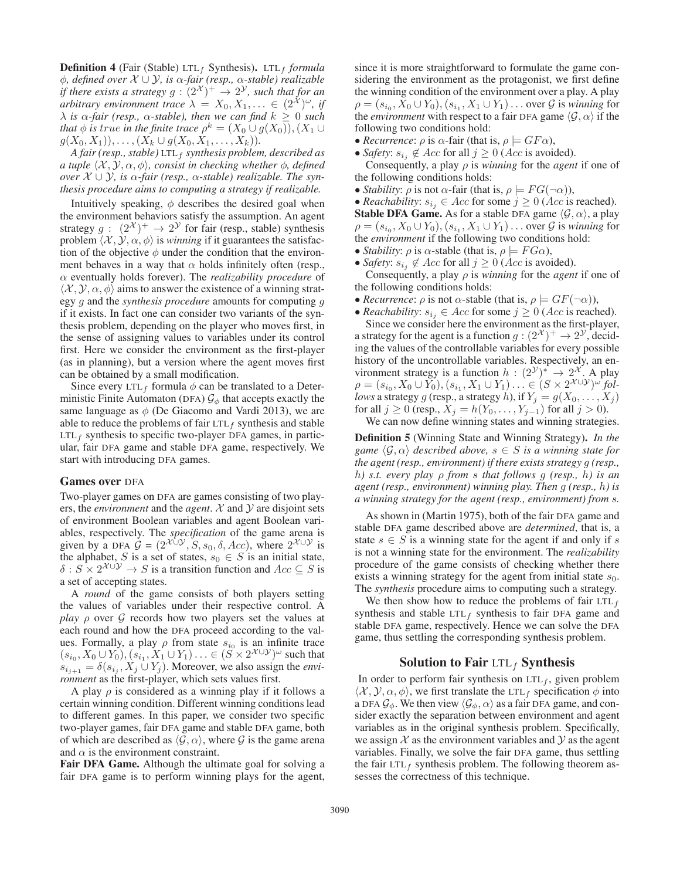**Definition 4** (Fair (Stable) LTL<sub>f</sub> Synthesis). LTL<sub>f</sub> *formula* φ*, defined over* X ∪Y*, is* α*-fair (resp.,* α*-stable) realizable if there exists a strategy*  $g : (2^{\mathcal{X}})^+ \rightarrow 2^{\mathcal{Y}}$ *, such that for an arbitrary environment trace*  $\lambda = X_0, X_1, ... \in (2^{\chi})^{\omega}$ , if  $\lambda$  *is*  $\alpha$ *-fair (resp.,*  $\alpha$ *-stable), then we can find*  $k \geq 0$  *such that*  $\phi$  *is true in the finite trace*  $\rho^k = (X_0 \cup g(X_0)), (X_1 \cup$  $g(X_0, X_1), \ldots, (X_k \cup g(X_0, X_1, \ldots, X_k)).$ 

*A fair (resp., stable)* LTL<sup>f</sup> *synthesis problem, described as a tuple*  $\langle X, Y, \alpha, \phi \rangle$ , consist in checking whether  $\phi$ , defined *over*  $X \cup Y$ *, is*  $\alpha$ -fair (resp.,  $\alpha$ -stable) realizable. The syn*thesis procedure aims to computing a strategy if realizable.*

Intuitively speaking,  $\phi$  describes the desired goal when the environment behaviors satisfy the assumption. An agent strategy  $g : (2^{\mathcal{X}})^+ \rightarrow 2^{\mathcal{Y}}$  for fair (resp., stable) synthesis problem  $\langle X, \mathcal{Y}, \alpha, \phi \rangle$  is *winning* if it guarantees the satisfaction of the objective  $\phi$  under the condition that the environment behaves in a way that  $\alpha$  holds infinitely often (resp., α eventually holds forever). The *realizability procedure* of  $\langle X, Y, \alpha, \phi \rangle$  aims to answer the existence of a winning strategy g and the *synthesis procedure* amounts for computing g if it exists. In fact one can consider two variants of the synthesis problem, depending on the player who moves first, in the sense of assigning values to variables under its control first. Here we consider the environment as the first-player (as in planning), but a version where the agent moves first can be obtained by a small modification.

Since every LTL<sub>f</sub> formula  $\phi$  can be translated to a Deterministic Finite Automaton (DFA)  $\mathcal{G}_{\phi}$  that accepts exactly the same language as  $\phi$  (De Giacomo and Vardi 2013), we are able to reduce the problems of fair  $LTL_f$  synthesis and stable  $LTL_f$  synthesis to specific two-player DFA games, in particular, fair DFA game and stable DFA game, respectively. We start with introducing DFA games.

#### Games over DFA

Two-player games on DFA are games consisting of two players, the *environment* and the *agent*.  $X$  and  $Y$  are disjoint sets of environment Boolean variables and agent Boolean variables, respectively. The *specification* of the game arena is given by a DFA  $G = (2^{\mathcal{X} \cup \mathcal{Y}}, S, s_0, \delta, Acc)$ , where  $2^{\mathcal{X} \cup \mathcal{Y}}$  is the alphabet, S is a set of states,  $s_0 \in S$  is an initial state,  $\delta$  :  $S \times 2^{\chi \cup \mathcal{Y}} \to S$  is a transition function and  $Acc \subseteq S$  is a set of accepting states.

A *round* of the game consists of both players setting the values of variables under their respective control. A *play*  $\rho$  over  $\mathcal G$  records how two players set the values at each round and how the DFA proceed according to the values. Formally, a play  $\rho$  from state  $s_{i_0}$  is an infinite trace  $(s_{i_0}, X_0 \cup Y_0), (s_{i_1}, X_1 \cup Y_1) \ldots \in (\check{S} \times 2^{\mathcal{X} \cup \mathcal{Y}})^{\omega}$  such that  $s_{i_{i+1}} = \delta(s_{i_j}, X_j \cup Y_j)$ . Moreover, we also assign the *environment* as the first-player, which sets values first.

A play  $\rho$  is considered as a winning play if it follows a certain winning condition. Different winning conditions lead to different games. In this paper, we consider two specific two-player games, fair DFA game and stable DFA game, both of which are described as  $\langle \mathcal{G}, \alpha \rangle$ , where  $\mathcal G$  is the game arena and  $\alpha$  is the environment constraint.

Fair DFA Game. Although the ultimate goal for solving a fair DFA game is to perform winning plays for the agent,

since it is more straightforward to formulate the game considering the environment as the protagonist, we first define the winning condition of the environment over a play. A play  $\rho = (s_{i_0}, X_0 \cup Y_0), (s_{i_1}, X_1 \cup Y_1) \dots$  over  $\mathcal G$  is *winning* for the *environment* with respect to a fair DFA game  $\langle \mathcal{G}, \alpha \rangle$  if the following two conditions hold:

- *Recurrence*:  $\rho$  is  $\alpha$ -fair (that is,  $\rho \models GF\alpha$ ),
- *Safety*:  $s_{i_j} \notin Acc$  for all  $j \geq 0$  (*Acc* is avoided).

Consequently, a play  $\rho$  is *winning* for the *agent* if one of the following conditions holds:

• *Stability*:  $\rho$  is not  $\alpha$ -fair (that is,  $\rho \models FG(\neg \alpha)$ ),

• *Reachability:*  $s_{i,j} \in Acc$  for some  $j \geq 0$  (*Acc* is reached). **Stable DFA Game.** As for a stable DFA game  $\langle \mathcal{G}, \alpha \rangle$ , a play  $\rho = (s_{i_0}, X_0 \cup Y_0), (s_{i_1}, X_1 \cup Y_1) \dots$  over  $\mathcal G$  is *winning* for the *environment* if the following two conditions hold:

- *Stability:*  $\rho$  is  $\alpha$ -stable (that is,  $\rho \models FG\alpha$ ),
- *Safety*:  $s_{i_j} \notin Acc$  for all  $j \ge 0$  (*Acc* is avoided).

Consequently, a play ρ is *winning* for the *agent* if one of the following conditions holds:

- *Recurrence*:  $\rho$  is not  $\alpha$ -stable (that is,  $\rho \models GF(\neg \alpha)$ ),
- *Reachability:*  $s_{i_j} \in Acc$  for some  $j \geq 0$  (*Acc* is reached). Since we consider here the environment as the first-player, a strategy for the agent is a function  $g : (2^{\mathcal{X}})^+ \to 2^{\mathcal{Y}}$ , deciding the values of the controllable variables for every possible history of the uncontrollable variables. Respectively, an environment strategy is a function  $h : (2^y)^* \to 2^x$ . A play  $\rho = (s_{i_0}, X_0 \cup Y_0), (s_{i_1}, X_1 \cup Y_1) \ldots \in (S \times 2^{\mathcal{X} \cup \mathcal{Y}})^{\omega}$  fol*lows* a strategy g (resp., a strategy h), if  $Y_j = g(X_0, \ldots, X_j)$ for all  $j \ge 0$  (resp.,  $\bar{X}_j = h(Y_0, \ldots, Y_{j-1})$  for all  $j > 0$ ).

We can now define winning states and winning strategies.

Definition 5 (Winning State and Winning Strategy). *In the* game  $\langle \mathcal{G}, \alpha \rangle$  described above,  $s \in S$  *is a winning state for the agent (resp., environment) if there exists strategy* g *(resp.,* h*) s.t. every play* ρ *from* s *that follows* g *(resp.,* h*) is an agent (resp., environment) winning play. Then* g *(resp.,* h*) is a winning strategy for the agent (resp., environment) from* s*.*

As shown in (Martin 1975), both of the fair DFA game and stable DFA game described above are *determined*, that is, a state  $s \in S$  is a winning state for the agent if and only if s is not a winning state for the environment. The *realizability* procedure of the game consists of checking whether there exists a winning strategy for the agent from initial state  $s_0$ . The *synthesis* procedure aims to computing such a strategy.

We then show how to reduce the problems of fair  $LTL<sub>f</sub>$ synthesis and stable  $LTL_f$  synthesis to fair DFA game and stable DFA game, respectively. Hence we can solve the DFA game, thus settling the corresponding synthesis problem.

#### Solution to Fair  $LTL_f$  Synthesis

In order to perform fair synthesis on  $LTL_f$ , given problem  $\langle \mathcal{X}, \mathcal{Y}, \alpha, \phi \rangle$ , we first translate the LTL<sub>f</sub> specification  $\phi$  into a DFA  $\mathcal{G}_{\phi}$ . We then view  $\langle \mathcal{G}_{\phi}, \alpha \rangle$  as a fair DFA game, and consider exactly the separation between environment and agent variables as in the original synthesis problem. Specifically, we assign  $X$  as the environment variables and  $Y$  as the agent variables. Finally, we solve the fair DFA game, thus settling the fair  $LTL_f$  synthesis problem. The following theorem assesses the correctness of this technique.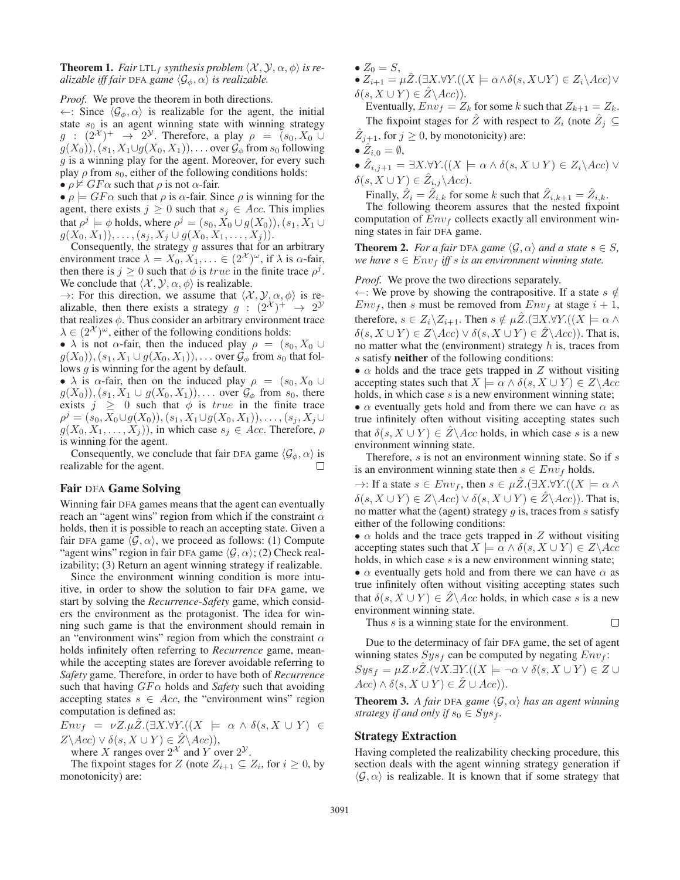**Theorem 1.** *Fair* LTL<sub>f</sub> *synthesis problem*  $\langle X, Y, \alpha, \phi \rangle$  *is realizable iff fair* DFA *game*  $\langle \mathcal{G}_{\phi}, \alpha \rangle$  *is realizable.* 

*Proof.* We prove the theorem in both directions.

 $\leftarrow$ : Since  $\langle \mathcal{G}_{\phi}, \alpha \rangle$  is realizable for the agent, the initial state  $s_0$  is an agent winning state with winning strategy  $g : (2^{\mathcal{X}})^+ \rightarrow 2^{\mathcal{Y}}$ . Therefore, a play  $\rho = (s_0, X_0 \cup$  $g(X_0)$ ,  $(s_1, X_1 \cup g(X_0, X_1))$ , ... over  $\mathcal{G}_{\phi}$  from  $s_0$  following g is a winning play for the agent. Moreover, for every such play  $\rho$  from  $s_0$ , either of the following conditions holds: •  $\rho \nvDash GF\alpha$  such that  $\rho$  is not  $\alpha$ -fair.

•  $\rho \models GF\alpha$  such that  $\rho$  is  $\alpha$ -fair. Since  $\rho$  is winning for the agent, there exists  $j \geq 0$  such that  $s_j \in Acc$ . This implies that  $\rho^j \models \phi$  holds, where  $\rho^j = (s_0, X_0 \cup g(X_0)), (s_1, X_1 \cup$  $g(X_0, X_1), \ldots, (s_j, X_j \cup g(X_0, X_1, \ldots, X_j)).$ 

Consequently, the strategy  $g$  assures that for an arbitrary environment trace  $\lambda = X_0, X_1, \ldots \in (2^{\mathcal{X}})^{\omega}$ , if  $\lambda$  is  $\alpha$ -fair, then there is  $j \geq 0$  such that  $\phi$  is *true* in the finite trace  $\rho^{j}$ . We conclude that  $\langle X, Y, \alpha, \phi \rangle$  is realizable.

 $\rightarrow$ : For this direction, we assume that  $\langle \mathcal{X}, \mathcal{Y}, \alpha, \phi \rangle$  is realizable, then there exists a strategy  $g : (2^{\mathcal{X}})^+ \rightarrow 2^{\mathcal{Y}}$ that realizes  $\phi$ . Thus consider an arbitrary environment trace  $\lambda \in (2^{\mathcal{X}})^{\omega}$ , either of the following conditions holds:

•  $\lambda$  is not  $\alpha$ -fair, then the induced play  $\rho = (s_0, X_0 \cup$  $g(X_0)$ ,  $(s_1, X_1 \cup g(X_0, X_1))$ ,... over  $\mathcal{G}_{\phi}$  from  $s_0$  that follows g is winning for the agent by default.

•  $\lambda$  is  $\alpha$ -fair, then on the induced play  $\rho = (s_0, X_0 \cup$  $g(X_0)$ ,  $(s_1, X_1 \cup g(X_0, X_1))$ ,... over  $\mathcal{G}_{\phi}$  from  $s_0$ , there exists  $j \geq 0$  such that  $\phi$  is *true* in the finite trace  $\rho^{j} = (s_0, X_0 \cup g(X_0)), (s_1, X_1 \cup g(X_0, X_1)), \ldots, (s_j, X_j \cup g(X_j))$  $g(X_0, X_1, \ldots, X_j)$ , in which case  $s_j \in Acc$ . Therefore,  $\rho$ is winning for the agent.

Consequently, we conclude that fair DFA game  $\langle \mathcal{G}_{\phi}, \alpha \rangle$  is realizable for the agent.  $\Box$ 

#### Fair DFA Game Solving

Winning fair DFA games means that the agent can eventually reach an "agent wins" region from which if the constraint  $\alpha$ holds, then it is possible to reach an accepting state. Given a fair DFA game  $\langle \mathcal{G}, \alpha \rangle$ , we proceed as follows: (1) Compute "agent wins" region in fair DFA game  $\langle \mathcal{G}, \alpha \rangle$ ; (2) Check realizability; (3) Return an agent winning strategy if realizable.

Since the environment winning condition is more intuitive, in order to show the solution to fair DFA game, we start by solving the *Recurrence-Safety* game, which considers the environment as the protagonist. The idea for winning such game is that the environment should remain in an "environment wins" region from which the constraint  $\alpha$ holds infinitely often referring to *Recurrence* game, meanwhile the accepting states are forever avoidable referring to *Safety* game. Therefore, in order to have both of *Recurrence* such that having  $GF\alpha$  holds and *Safety* such that avoiding accepting states  $s \in Acc$ , the "environment wins" region computation is defined as:

 $Env_f = \nu Z. \mu \hat{Z}.(\exists X. \forall Y. ((X \models \alpha \wedge \delta(s, X \cup Y) \in$  $Z\backslash Acc) \vee \delta(s, X \cup Y) \in \hat{Z}\backslash Acc)$ 

where X ranges over  $2^{\mathcal{X}}$  and Y over  $2^{\mathcal{Y}}$ .

The fixpoint stages for Z (note  $Z_{i+1} \subseteq Z_i$ , for  $i \geq 0$ , by monotonicity) are:

- $Z_0 = S$ ,
- $Z_{i+1} = \mu \hat{Z}.(\exists X.\forall Y.((X \models \alpha \land \delta(s, X \cup Y) \in Z_i \setminus Acc) \lor$  $\delta(s, X \cup Y) \in \hat{Z} \backslash Acc)$ ).

Eventually,  $Env_f = Z_k$  for some k such that  $Z_{k+1} = Z_k$ . The fixpoint stages for  $\hat{Z}$  with respect to  $Z_i$  (note  $\hat{Z}_j \subseteq$  $\hat{Z}_{i+1}$ , for  $j \geq 0$ , by monotonicity) are:

$$
\bullet\ \hat{Z}_{i,0}=\emptyset,
$$

•  $\hat{Z}_{i,j+1} = \exists X. \forall Y. ((X \models \alpha \land \delta(s, X \cup Y) \in Z_i \setminus Acc) \lor$  $\delta(s, X \cup Y) \in \hat{Z}_{i,j} \backslash Acc$ ).

Finally,  $\hat{Z}_i = \hat{Z}_{i,k}$  for some k such that  $\hat{Z}_{i,k+1} = \hat{Z}_{i,k}$ .

The following theorem assures that the nested fixpoint computation of  $Env_f$  collects exactly all environment winning states in fair DFA game.

**Theorem 2.** For a fair DFA game  $\langle \mathcal{G}, \alpha \rangle$  and a state  $s \in S$ , *we have*  $s \in Env_f$  *iff s is an environment winning state.* 

*Proof.* We prove the two directions separately.

←: We prove by showing the contrapositive. If a state  $s \notin \mathbb{R}$  $Env_f$ , then s must be removed from  $Env_f$  at stage  $i + 1$ , therefore,  $s \in Z_i \backslash Z_{i+1}$ . Then  $s \notin \mu Z$ .  $(\exists X. \forall Y$ .  $((X \models \alpha \land \beta) \in Z_{i+1})$ .  $\delta(s, X \cup Y) \in Z \backslash Acc) \vee \delta(s, X \cup Y) \in Z \backslash Acc)$ ). That is, no matter what the (environment) strategy  $h$  is, traces from s satisfy **neither** of the following conditions:

•  $\alpha$  holds and the trace gets trapped in Z without visiting accepting states such that  $X \models \alpha \land \delta(s, X \cup Y) \in Z \setminus Acc$ holds, in which case s is a new environment winning state;

•  $\alpha$  eventually gets hold and from there we can have  $\alpha$  as true infinitely often without visiting accepting states such that  $\delta(s, X \cup Y) \in \hat{Z} \backslash Acc$  holds, in which case s is a new environment winning state.

Therefore,  $s$  is not an environment winning state. So if  $s$ is an environment winning state then  $s \in Env_f$  holds.

 $\rightarrow$ : If a state  $s \in Env_f$ , then  $s \in \mu \hat{Z}.(\exists X.\forall Y.((X \models \alpha \land$  $\delta(s, X \cup Y) \in Z \backslash Acc) \vee \delta(s, X \cup Y) \in \hat{Z} \backslash Acc)$ ). That is, no matter what the (agent) strategy  $g$  is, traces from  $s$  satisfy either of the following conditions:

•  $\alpha$  holds and the trace gets trapped in Z without visiting accepting states such that  $X \models \alpha \land \delta(s, X \cup Y) \in Z \setminus Acc$ holds, in which case s is a new environment winning state;

•  $\alpha$  eventually gets hold and from there we can have  $\alpha$  as true infinitely often without visiting accepting states such that  $\delta(s, X \cup Y) \in \hat{Z} \backslash Acc$  holds, in which case s is a new environment winning state.

Thus s is a winning state for the environment.

Due to the determinacy of fair DFA game, the set of agent winning states  $Sys_f$  can be computed by negating  $Env_f$ :

 $\Box$ 

 $Sys_f = \mu Z.\nu Z. (\forall X. \exists Y. ((X \models \neg \alpha \vee \delta(s, X \cup Y) \in Z \cup$  $Acc) \wedge \delta(s, X \cup Y) \in \hat{Z} \cup Acc)$ ).

**Theorem 3.** A fair DFA game  $\langle \mathcal{G}, \alpha \rangle$  has an agent winning *strategy if and only if*  $s_0 \in Sys_f$ *.* 

#### Strategy Extraction

Having completed the realizability checking procedure, this section deals with the agent winning strategy generation if  $\langle \mathcal{G}, \alpha \rangle$  is realizable. It is known that if some strategy that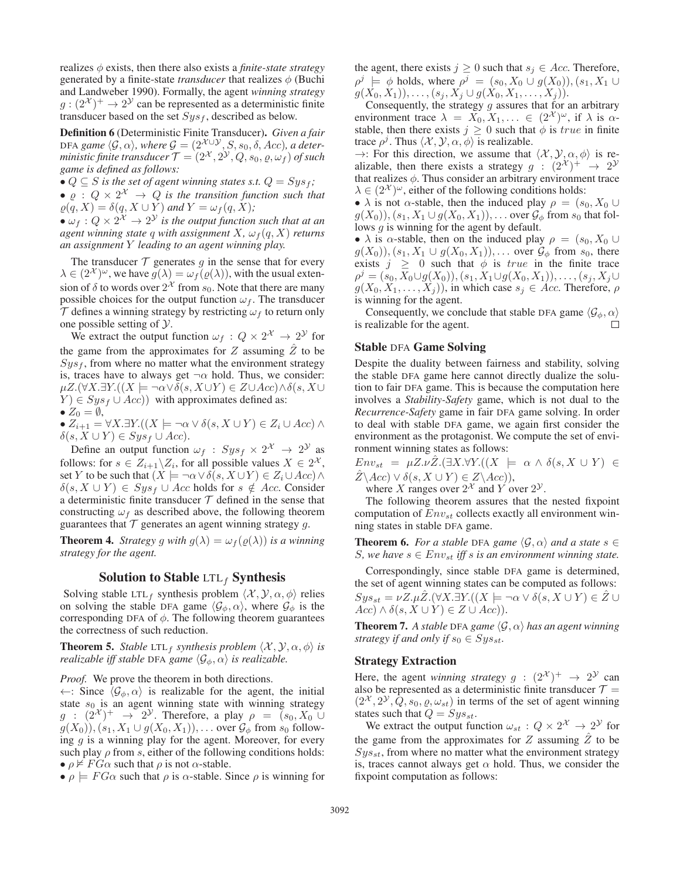realizes  $\phi$  exists, then there also exists a *finite-state strategy* generated by a finite-state *transducer* that realizes  $\phi$  (Buchi and Landweber 1990). Formally, the agent *winning strategy*  $g: (2^{\mathcal{X}})^+ \to 2^{\mathcal{Y}}$  can be represented as a deterministic finite transducer based on the set  $Sys_f$ , described as below.

Definition 6 (Deterministic Finite Transducer). *Given a fair* DFA game  $\langle \mathcal{G}, \alpha \rangle$ , where  $\mathcal{G} = (2^{\mathcal{X} \cup \mathcal{Y}}, S, s_0, \delta, Acc)$ , a deter*ministic finite transducer*  $\mathcal{T} = (2^{\mathcal{X}}, 2^{\mathcal{Y}}, Q, s_0, \varrho, \omega_f)$  *of such game is defined as follows:*

•  $Q \subseteq S$  *is the set of agent winning states s.t.*  $Q = Sys_f$ ;

•  $\varrho$  :  $Q \times 2^{\mathcal{X}} \rightarrow Q$  *is the transition function such that*  $\varrho(q, X) = \delta(q, X \cup Y)$  and  $Y = \omega_f(q, X)$ ;

•  $\omega_f$  :  $Q \times 2^{\mathcal{X}} \rightarrow 2^{\mathcal{Y}}$  *is the output function such that at an agent winning state q with assignment*  $X$ *,*  $\omega_f(q, X)$  *returns an assignment* Y *leading to an agent winning play.*

The transducer  $T$  generates  $g$  in the sense that for every  $\lambda \in (2^{\mathcal{X}})^{\omega}$ , we have  $g(\lambda) = \omega_f(\varrho(\lambda))$ , with the usual extension of  $\delta$  to words over  $2^{\lambda}$  from  $s_0$ . Note that there are many possible choices for the output function  $\omega_f$ . The transducer  $\mathcal T$  defines a winning strategy by restricting  $\omega_f$  to return only one possible setting of  $\mathcal{Y}$ .

We extract the output function  $\omega_f : Q \times 2^{\mathcal{X}} \to 2^{\mathcal{Y}}$  for the game from the approximates for Z assuming  $\hat{Z}$  to be  $Sys<sub>f</sub>$ , from where no matter what the environment strategy is, traces have to always get  $\neg \alpha$  hold. Thus, we consider:  $\mu Z.(\forall X.\exists Y.((X \models \neg \alpha \vee \delta(s, X\cup Y) \in Z\cup Acc) \wedge \delta(s, X\cup Y))$  $(Y) \in Sys_f \cup Acc)$ ) with approximates defined as:  $\bullet$   $Z_0 = \emptyset$ .

$$
\bullet Z_{i+1} = \forall X. \exists Y. ((X \models \neg \alpha \lor \delta(s, X \cup Y) \in Z_i \cup Acc) \land \delta(s, X \cup Y) \in Sys_{f} \cup Acc).
$$

Define an output function  $\omega_f$  :  $Sys_f \times 2^{\mathcal{X}} \rightarrow 2^{\mathcal{Y}}$  as follows: for  $s \in Z_{i+1} \backslash Z_i$ , for all possible values  $X \in 2^{\mathcal{X}}$ , set Y to be such that  $(X \models \neg \alpha \lor \overline{\delta(s, X \cup Y}) \in Z_i \cup Acc) \land$  $\delta(s, X \cup Y) \in Sys_f \cup Acc$  holds for  $s \notin Acc$ . Consider a deterministic finite transducer  $T$  defined in the sense that constructing  $\omega_f$  as described above, the following theorem guarantees that  $\mathcal T$  generates an agent winning strategy g.

**Theorem 4.** *Strategy g with*  $g(\lambda) = \omega_f(\varrho(\lambda))$  *is a winning strategy for the agent.*

#### Solution to Stable  $LTL_f$  Synthesis

Solving stable LTL<sub>f</sub> synthesis problem  $\langle \mathcal{X}, \mathcal{Y}, \alpha, \phi \rangle$  relies on solving the stable DFA game  $\langle \mathcal{G}_{\phi}, \alpha \rangle$ , where  $\mathcal{G}_{\phi}$  is the corresponding DFA of  $\phi$ . The following theorem guarantees the correctness of such reduction.

**Theorem 5.** *Stable* LTL<sub>f</sub> *synthesis problem*  $\langle X, Y, \alpha, \phi \rangle$  *is realizable iff stable* DFA *game*  $\langle \mathcal{G}_{\phi}, \alpha \rangle$  *is realizable.* 

*Proof.* We prove the theorem in both directions.

 $\leftarrow$ : Since  $\langle \mathcal{G}_{\phi}, \alpha \rangle$  is realizable for the agent, the initial state  $s_0$  is an agent winning state with winning strategy  $g : (2^{\mathcal{X}})^+ \rightarrow 2^{\mathcal{Y}}$ . Therefore, a play  $\rho = (s_0, X_0 \cup$  $g(X_0)$ ,  $(s_1, X_1 \cup g(X_0, X_1))$ , ... over  $\mathcal{G}_{\phi}$  from  $s_0$  following  $q$  is a winning play for the agent. Moreover, for every such play  $\rho$  from s, either of the following conditions holds: •  $\rho \nvDash FG\alpha$  such that  $\rho$  is not  $\alpha$ -stable.

 $\bullet \rho \models FG\alpha$  such that  $\rho$  is  $\alpha$ -stable. Since  $\rho$  is winning for

the agent, there exists  $j \geq 0$  such that  $s_j \in Acc$ . Therefore,  $\rho^j \models \phi$  holds, where  $\rho^j = (s_0, X_0 \cup g(X_0)), (s_1, X_1 \cup g(X_0))$  $g(X_0, X_1), \ldots, (s_j, X_j \cup g(X_0, X_1, \ldots, X_j)).$ 

Consequently, the strategy  $g$  assures that for an arbitrary environment trace  $\lambda = X_0, X_1, \ldots \in (2^{\mathcal{X}})^{\omega}$ , if  $\lambda$  is  $\alpha$ stable, then there exists  $j \geq 0$  such that  $\phi$  is *true* in finite trace  $\rho^j$ . Thus  $\langle \mathcal{X}, \mathcal{Y}, \alpha, \phi \rangle$  is realizable.

 $\rightarrow$ : For this direction, we assume that  $\langle \mathcal{X}, \mathcal{Y}, \alpha, \phi \rangle$  is realizable, then there exists a strategy  $g : (2^{\mathcal{X}})^+ \rightarrow 2^{\mathcal{Y}}$ that realizes  $\phi$ . Thus consider an arbitrary environment trace  $\lambda \in (2^{\mathcal{X}})^{\omega}$ , either of the following conditions holds:

•  $\lambda$  is not  $\alpha$ -stable, then the induced play  $\rho = (s_0, X_0 \cup$  $g(X_0)$ ,  $(s_1, X_1 \cup g(X_0, X_1))$ , ... over  $\mathcal{G}_{\phi}$  from  $s_0$  that follows *g* is winning for the agent by default.

•  $\lambda$  is  $\alpha$ -stable, then on the induced play  $\rho = (s_0, X_0 \cup$  $g(X_0)$ ,  $(s_1, X_1 \cup g(X_0, X_1))$ ,... over  $\mathcal{G}_{\phi}$  from  $s_0$ , there exists  $j \ge 0$  such that  $\phi$  is *true* in the finite trace  $\rho^{j} = (s_0, X_0 \cup g(X_0)), (s_1, X_1 \cup g(X_0, X_1)), \ldots, (s_j, X_j \cup g(X_j))$  $g(X_0, X_1, \ldots, X_j)$ , in which case  $s_j \in Acc$ . Therefore,  $\rho$ is winning for the agent.

Consequently, we conclude that stable DFA game  $\langle \mathcal{G}_{\phi}, \alpha \rangle$ is realizable for the agent. П

#### Stable DFA Game Solving

Despite the duality between fairness and stability, solving the stable DFA game here cannot directly dualize the solution to fair DFA game. This is because the computation here involves a *Stability-Safety* game, which is not dual to the *Recurrence-Safety* game in fair DFA game solving. In order to deal with stable DFA game, we again first consider the environment as the protagonist. We compute the set of environment winning states as follows:

 $Env_{st} = \mu Z.\nu \hat{Z}.(\exists X.\forall Y.((X \models \alpha \land \delta(s, X \cup Y) \in$  $Z\backslash Acc) \vee \delta(s, X \cup Y) \in Z\backslash Acc)$ ),

where X ranges over  $2^{\mathcal{X}}$  and Y over  $2^{\mathcal{Y}}$ .

The following theorem assures that the nested fixpoint computation of  $Env_{st}$  collects exactly all environment winning states in stable DFA game.

**Theorem 6.** For a stable DFA game  $\langle \mathcal{G}, \alpha \rangle$  and a state  $s \in \mathcal{G}$ S, we have  $s \in Env_{st}$  *iff* s *is an environment winning state.* 

Correspondingly, since stable DFA game is determined, the set of agent winning states can be computed as follows:  $Sys_{st} = \nu Z.\mu Z.(\forall X.\exists Y.((X \models \neg \alpha \vee \delta(s, X \cup Y) \in Z \cup$  $Acc) \wedge \delta(s, X \cup Y) \in Z \cup Acc)$ ).

**Theorem 7.** A stable DFA game  $\langle \mathcal{G}, \alpha \rangle$  has an agent winning *strategy if and only if*  $s_0 \in Sys_{st}$ .

#### Strategy Extraction

Here, the agent *winning strategy*  $g : (2^{\mathcal{X}})^+ \rightarrow 2^{\mathcal{Y}}$  can also be represented as a deterministic finite transducer  $\mathcal{T} =$  $(2^{\mathcal{X}}, 2^{\mathcal{Y}}, Q, s_0, \varrho, \omega_{st})$  in terms of the set of agent winning states such that  $Q = Sys_{st}$ .

We extract the output function  $\omega_{st} : Q \times 2^{\mathcal{X}} \to 2^{\mathcal{Y}}$  for the game from the approximates for  $Z$  assuming  $\hat{Z}$  to be  $Sys_{st}$ , from where no matter what the environment strategy is, traces cannot always get  $\alpha$  hold. Thus, we consider the fixpoint computation as follows: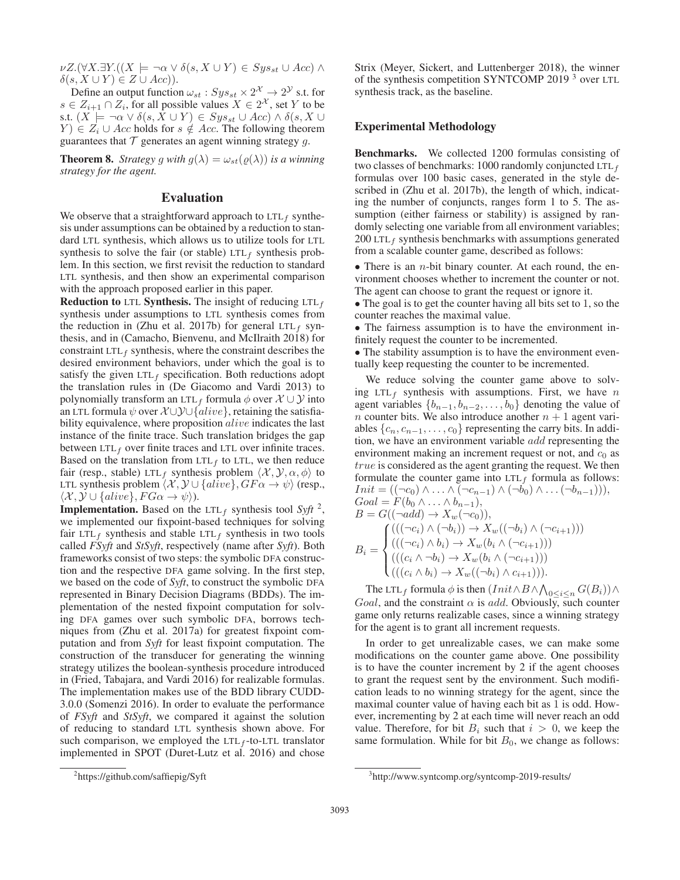$\nu Z.(\forall X.\exists Y.((X \models \neg \alpha \vee \delta(s, X \cup Y) \in Sys_{st} \cup Acc) \wedge$  $\delta(s, X \cup Y) \in Z \cup Acc)$ ).

Define an output function  $\omega_{st}$ :  $Sys_{st} \times 2^{\mathcal{X}} \rightarrow 2^{\mathcal{Y}}$  s.t. for  $s \in Z_{i+1} \cap Z_i$ , for all possible values  $X \in 2^{\mathcal{X}}$ , set Y to be s.t.  $(X \models \neg \alpha \vee \delta(s, X \cup Y) \in Sys_{st} \cup Acc) \wedge \delta(s, X \cup Y)$  $Y$ )  $\in Z_i \cup Acc$  holds for  $s \notin Acc$ . The following theorem guarantees that  $T$  generates an agent winning strategy  $g$ .

**Theorem 8.** *Strategy* g *with*  $g(\lambda) = \omega_{st}(\varrho(\lambda))$  *is a winning strategy for the agent.*

### Evaluation

We observe that a straightforward approach to  $LTL_f$  synthesis under assumptions can be obtained by a reduction to standard LTL synthesis, which allows us to utilize tools for LTL synthesis to solve the fair (or stable)  $LTL_f$  synthesis problem. In this section, we first revisit the reduction to standard LTL synthesis, and then show an experimental comparison with the approach proposed earlier in this paper.

**Reduction to LTL Synthesis.** The insight of reducing LTL<sub>f</sub> synthesis under assumptions to LTL synthesis comes from the reduction in (Zhu et al. 2017b) for general LTL<sub>f</sub> synthesis, and in (Camacho, Bienvenu, and McIlraith 2018) for constraint  $LTL_f$  synthesis, where the constraint describes the desired environment behaviors, under which the goal is to satisfy the given  $LTL_f$  specification. Both reductions adopt the translation rules in (De Giacomo and Vardi 2013) to polynomially transform an LTL<sub>f</sub> formula  $\phi$  over  $\mathcal{X} \cup \mathcal{Y}$  into an LTL formula  $\psi$  over  $\mathcal{X} \cup \mathcal{Y} \cup \{alive\}$ , retaining the satisfiability equivalence, where proposition *alive* indicates the last instance of the finite trace. Such translation bridges the gap between  $LTL<sub>f</sub>$  over finite traces and LTL over infinite traces. Based on the translation from  $LTL<sub>f</sub>$  to LTL, we then reduce fair (resp., stable) LTL<sub>f</sub> synthesis problem  $\langle \mathcal{X}, \mathcal{Y}, \alpha, \phi \rangle$  to LTL synthesis problem  $\langle X, Y \cup \{alive\}, GF\alpha \rightarrow \psi \rangle$  (resp.,  $\langle \mathcal{X}, \mathcal{Y} \cup \{alive\}, FG\alpha \rightarrow \psi \rangle$ .

**Implementation.** Based on the LTL<sub>f</sub> synthesis tool *Syft* <sup>2</sup>, we implemented our fixpoint-based techniques for solving fair LTL<sub>f</sub> synthesis and stable LTL<sub>f</sub> synthesis in two tools called *FSyft* and *StSyft*, respectively (name after *Syft*). Both frameworks consist of two steps: the symbolic DFA construction and the respective DFA game solving. In the first step, we based on the code of *Syft*, to construct the symbolic DFA represented in Binary Decision Diagrams (BDDs). The implementation of the nested fixpoint computation for solving DFA games over such symbolic DFA, borrows techniques from (Zhu et al. 2017a) for greatest fixpoint computation and from *Syft* for least fixpoint computation. The construction of the transducer for generating the winning strategy utilizes the boolean-synthesis procedure introduced in (Fried, Tabajara, and Vardi 2016) for realizable formulas. The implementation makes use of the BDD library CUDD-3.0.0 (Somenzi 2016). In order to evaluate the performance of *FSyft* and *StSyft*, we compared it against the solution of reducing to standard LTL synthesis shown above. For such comparison, we employed the  $LTL_f$ -to-LTL translator implemented in SPOT (Duret-Lutz et al. 2016) and chose

Strix (Meyer, Sickert, and Luttenberger 2018), the winner of the synthesis competition SYNTCOMP 2019 <sup>3</sup> over LTL synthesis track, as the baseline.

## Experimental Methodology

Benchmarks. We collected 1200 formulas consisting of two classes of benchmarks: 1000 randomly conjuncted LTL $_f$ formulas over 100 basic cases, generated in the style described in (Zhu et al. 2017b), the length of which, indicating the number of conjuncts, ranges form 1 to 5. The assumption (either fairness or stability) is assigned by randomly selecting one variable from all environment variables; 200 LTL $_f$  synthesis benchmarks with assumptions generated from a scalable counter game, described as follows:

• There is an *n*-bit binary counter. At each round, the environment chooses whether to increment the counter or not. The agent can choose to grant the request or ignore it.

• The goal is to get the counter having all bits set to 1, so the counter reaches the maximal value.

• The fairness assumption is to have the environment infinitely request the counter to be incremented.

• The stability assumption is to have the environment eventually keep requesting the counter to be incremented.

We reduce solving the counter game above to solving  $LTL_f$  synthesis with assumptions. First, we have n agent variables  $\{b_{n-1}, b_{n-2}, \ldots, b_0\}$  denoting the value of *n* counter bits. We also introduce another  $n + 1$  agent variables  $\{c_n, c_{n-1}, \ldots, c_0\}$  representing the carry bits. In addition, we have an environment variable add representing the environment making an increment request or not, and  $c_0$  as *true* is considered as the agent granting the request. We then formulate the counter game into  $LTL<sub>f</sub>$  formula as follows:  $Init = ((\neg c_0) \land \ldots \land (\neg c_{n-1}) \land (\neg b_0) \land \ldots (\neg b_{n-1}))),$  $Goal = F(b_0 \land \ldots \land b_{n-1}),$  $B = G((\neg add) \rightarrow X_w(\neg c_0)),$  $B_i =$  $\sqrt{ }$  $\int$  $(((\neg c_i) \land (\neg b_i)) \rightarrow X_w((\neg b_i) \land (\neg c_{i+1})))$  $(((\neg c_i) \land b_i) \rightarrow X_w(b_i \land (\neg c_{i+1})))$ 

$$
X_{u} = \left( ((c_{i} \wedge \neg b_{i}) \rightarrow X_{w}(b_{i} \wedge (\neg c_{i+1}))) \right)
$$
  

$$
(((c_{i} \wedge b_{i}) \rightarrow X_{w}((\neg b_{i}) \wedge c_{i+1}))).
$$

The LTL<sub>f</sub> formula  $\phi$  is then  $(Init \wedge B \wedge \bigwedge_{0 \leq i \leq n} G(B_i)) \wedge$ Goal, and the constraint  $\alpha$  is add. Obviously, such counter game only returns realizable cases, since a winning strategy for the agent is to grant all increment requests.

In order to get unrealizable cases, we can make some modifications on the counter game above. One possibility is to have the counter increment by 2 if the agent chooses to grant the request sent by the environment. Such modification leads to no winning strategy for the agent, since the maximal counter value of having each bit as 1 is odd. However, incrementing by 2 at each time will never reach an odd value. Therefore, for bit  $B_i$  such that  $i > 0$ , we keep the same formulation. While for bit  $B_0$ , we change as follows:

<sup>2</sup> https://github.com/saffiepig/Syft

<sup>3</sup> http://www.syntcomp.org/syntcomp-2019-results/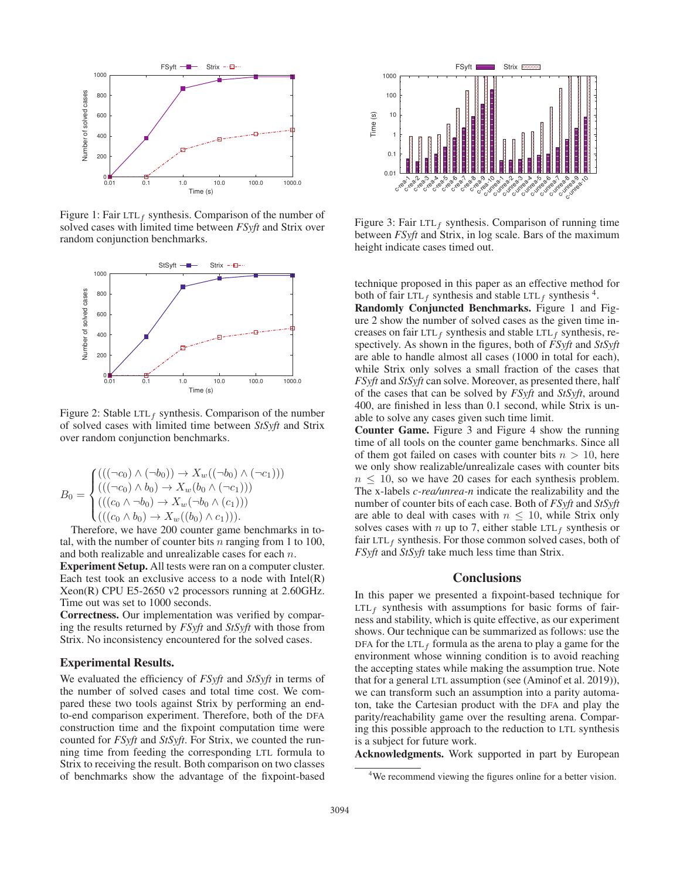

Figure 1: Fair LTL<sub>f</sub> synthesis. Comparison of the number of solved cases with limited time between *FSyft* and Strix over random conjunction benchmarks.



Figure 2: Stable LTL<sub>f</sub> synthesis. Comparison of the number of solved cases with limited time between *StSyft* and Strix over random conjunction benchmarks.

$$
B_0 = \begin{cases} ((((\neg c_0) \land (\neg b_0)) \to X_w((\neg b_0) \land (\neg c_1))) \\ ((((\neg c_0) \land b_0) \to X_w(b_0 \land (\neg c_1))) \\ ((((c_0 \land \neg b_0) \to X_w(\neg b_0 \land (c_1))) \\ ((((c_0 \land b_0) \to X_w((b_0) \land c_1))). \end{cases}
$$

Therefore, we have 200 counter game benchmarks in total, with the number of counter bits  $n$  ranging from 1 to 100, and both realizable and unrealizable cases for each n.

Experiment Setup. All tests were ran on a computer cluster. Each test took an exclusive access to a node with  $Intel(R)$ Xeon(R) CPU E5-2650 v2 processors running at 2.60GHz. Time out was set to 1000 seconds.

Correctness. Our implementation was verified by comparing the results returned by *FSyft* and *StSyft* with those from Strix. No inconsistency encountered for the solved cases.

#### Experimental Results.

We evaluated the efficiency of *FSyft* and *StSyft* in terms of the number of solved cases and total time cost. We compared these two tools against Strix by performing an endto-end comparison experiment. Therefore, both of the DFA construction time and the fixpoint computation time were counted for *FSyft* and *StSyft*. For Strix, we counted the running time from feeding the corresponding LTL formula to Strix to receiving the result. Both comparison on two classes of benchmarks show the advantage of the fixpoint-based



Figure 3: Fair  $LTL_f$  synthesis. Comparison of running time between *FSyft* and Strix, in log scale. Bars of the maximum height indicate cases timed out.

technique proposed in this paper as an effective method for both of fair LTL<sub>f</sub> synthesis and stable LTL<sub>f</sub> synthesis  $4$ .

Randomly Conjuncted Benchmarks. Figure 1 and Figure 2 show the number of solved cases as the given time increases on fair LTL<sub>f</sub> synthesis and stable LTL<sub>f</sub> synthesis, respectively. As shown in the figures, both of *FSyft* and *StSyft* are able to handle almost all cases (1000 in total for each), while Strix only solves a small fraction of the cases that *FSyft* and *StSyft* can solve. Moreover, as presented there, half of the cases that can be solved by *FSyft* and *StSyft*, around 400, are finished in less than 0.1 second, while Strix is unable to solve any cases given such time limit.

Counter Game. Figure 3 and Figure 4 show the running time of all tools on the counter game benchmarks. Since all of them got failed on cases with counter bits  $n > 10$ , here we only show realizable/unrealizale cases with counter bits  $n \leq 10$ , so we have 20 cases for each synthesis problem. The x-labels *c-rea/unrea-n* indicate the realizability and the number of counter bits of each case. Both of *FSyft* and *StSyft* are able to deal with cases with  $n \leq 10$ , while Strix only solves cases with n up to 7, either stable LTL<sub>f</sub> synthesis or fair LTL $_f$  synthesis. For those common solved cases, both of *FSyft* and *StSyft* take much less time than Strix.

#### **Conclusions**

In this paper we presented a fixpoint-based technique for  $LTL_f$  synthesis with assumptions for basic forms of fairness and stability, which is quite effective, as our experiment shows. Our technique can be summarized as follows: use the DFA for the LTL<sub>f</sub> formula as the arena to play a game for the environment whose winning condition is to avoid reaching the accepting states while making the assumption true. Note that for a general LTL assumption (see (Aminof et al. 2019)), we can transform such an assumption into a parity automaton, take the Cartesian product with the DFA and play the parity/reachability game over the resulting arena. Comparing this possible approach to the reduction to LTL synthesis is a subject for future work.

Acknowledgments. Work supported in part by European

<sup>&</sup>lt;sup>4</sup>We recommend viewing the figures online for a better vision.